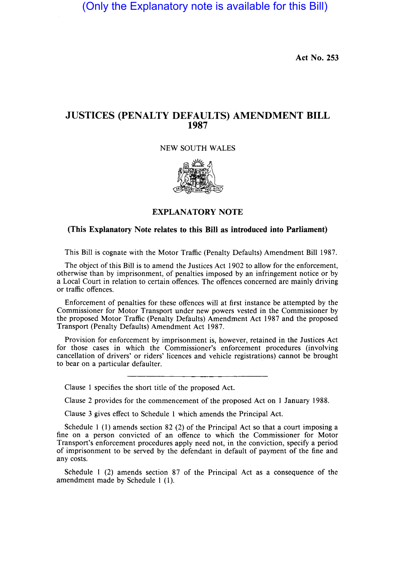(Only the Explanatory note is available for this Bill)

**Act No. 253** 

## **JUSTICES (PENALTY DEFAULTS) AMENDMENT BILL 1987**

NEW SOUTH WALES



## **EXPLANATORY NOTE**

## **(This Explanatory Note relates to this Bill as introduced into Parliament)**

This **Bill** is cognate with the Motor Traffic (Penalty Defaults) Amendment **Bill** 1987.

The object of this **Bill** is to amend the Justices Act 1902 to allow for the enforcement, otherwise than by imprisonment, of penalties imposed by an infringement notice or by a Local Court in relation to certain offences. The offences concerned are mainly driving or traffic offences.

Enforcement of penalties for these offences will at first instance be attempted by the Commissioner for Motor Transport under new powers vested in the Commissioner by the proposed Motor Traffic (Penalty Defaults) Amendment Act 1987 and the proposed Transport (Penalty Defaults) Amendment Act 1987.

Provision for enforcement by imprisonment is, however, retained in the Justices Act for those cases in which the Commissioner's enforcement procedures (involving cancellation of drivers' or riders' licences and vehicle registrations) cannot be brought to bear on a particular defaulter.

Clause 1 specifies the short title of the proposed Act.

Clause 2 provides for the commencement of the proposed Act on 1 January 1988.

Clause 3 gives effect to Schedule 1 which amends the Principal Act.

Schedule 1 (1) amends section 82 (2) of the Principal Act so that a court imposing a fine on a person convicted of an offence to which the Commissioner for Motor Transport's enforcement procedures apply need not, in the conviction, specify a period of imprisonment to be served by the defendant in default of payment of the fine and any costs.

Schedule 1 (2) amends section 87 of the Principal Act as a consequence of the amendment made by Schedule 1 (1).